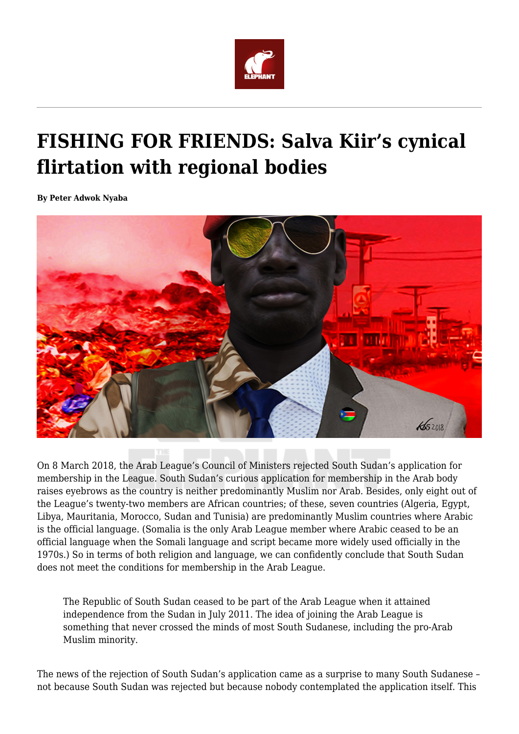

## **FISHING FOR FRIENDS: Salva Kiir's cynical flirtation with regional bodies**

**By Peter Adwok Nyaba**



On 8 March 2018, the Arab League's Council of Ministers rejected South Sudan's application for membership in the League. South Sudan's curious application for membership in the Arab body raises eyebrows as the country is neither predominantly Muslim nor Arab. Besides, only eight out of the League's twenty-two members are African countries; of these, seven countries (Algeria, Egypt, Libya, Mauritania, Morocco, Sudan and Tunisia) are predominantly Muslim countries where Arabic is the official language. (Somalia is the only Arab League member where Arabic ceased to be an official language when the Somali language and script became more widely used officially in the 1970s.) So in terms of both religion and language, we can confidently conclude that South Sudan does not meet the conditions for membership in the Arab League.

The Republic of South Sudan ceased to be part of the Arab League when it attained independence from the Sudan in July 2011. The idea of joining the Arab League is something that never crossed the minds of most South Sudanese, including the pro-Arab Muslim minority.

The news of the rejection of South Sudan's application came as a surprise to many South Sudanese – not because South Sudan was rejected but because nobody contemplated the application itself. This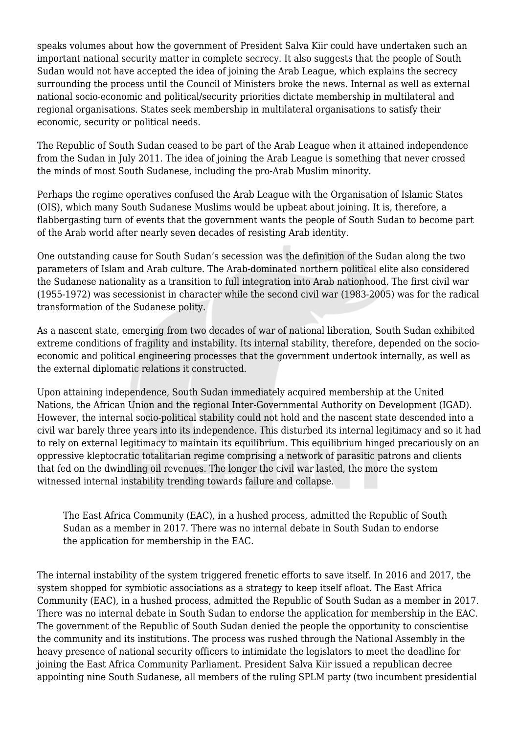speaks volumes about how the government of President Salva Kiir could have undertaken such an important national security matter in complete secrecy. It also suggests that the people of South Sudan would not have accepted the idea of joining the Arab League, which explains the secrecy surrounding the process until the Council of Ministers broke the news. Internal as well as external national socio-economic and political/security priorities dictate membership in multilateral and regional organisations. States seek membership in multilateral organisations to satisfy their economic, security or political needs.

The Republic of South Sudan ceased to be part of the Arab League when it attained independence from the Sudan in July 2011. The idea of joining the Arab League is something that never crossed the minds of most South Sudanese, including the pro-Arab Muslim minority.

Perhaps the regime operatives confused the Arab League with the Organisation of Islamic States (OIS), which many South Sudanese Muslims would be upbeat about joining. It is, therefore, a flabbergasting turn of events that the government wants the people of South Sudan to become part of the Arab world after nearly seven decades of resisting Arab identity.

One outstanding cause for South Sudan's secession was the definition of the Sudan along the two parameters of Islam and Arab culture. The Arab-dominated northern political elite also considered the Sudanese nationality as a transition to full integration into Arab nationhood. The first civil war (1955-1972) was secessionist in character while the second civil war (1983-2005) was for the radical transformation of the Sudanese polity.

As a nascent state, emerging from two decades of war of national liberation, South Sudan exhibited extreme conditions of fragility and instability. Its internal stability, therefore, depended on the socioeconomic and political engineering processes that the government undertook internally, as well as the external diplomatic relations it constructed.

Upon attaining independence, South Sudan immediately acquired membership at the United Nations, the African Union and the regional Inter-Governmental Authority on Development (IGAD). However, the internal socio-political stability could not hold and the nascent state descended into a civil war barely three years into its independence. This disturbed its internal legitimacy and so it had to rely on external legitimacy to maintain its equilibrium. This equilibrium hinged precariously on an oppressive kleptocratic totalitarian regime comprising a network of parasitic patrons and clients that fed on the dwindling oil revenues. The longer the civil war lasted, the more the system witnessed internal instability trending towards failure and collapse.

The East Africa Community (EAC), in a hushed process, admitted the Republic of South Sudan as a member in 2017. There was no internal debate in South Sudan to endorse the application for membership in the EAC.

The internal instability of the system triggered frenetic efforts to save itself. In 2016 and 2017, the system shopped for symbiotic associations as a strategy to keep itself afloat. The East Africa Community (EAC), in a hushed process, admitted the Republic of South Sudan as a member in 2017. There was no internal debate in South Sudan to endorse the application for membership in the EAC. The government of the Republic of South Sudan denied the people the opportunity to conscientise the community and its institutions. The process was rushed through the National Assembly in the heavy presence of national security officers to intimidate the legislators to meet the deadline for joining the East Africa Community Parliament. President Salva Kiir issued a republican decree appointing nine South Sudanese, all members of the ruling SPLM party (two incumbent presidential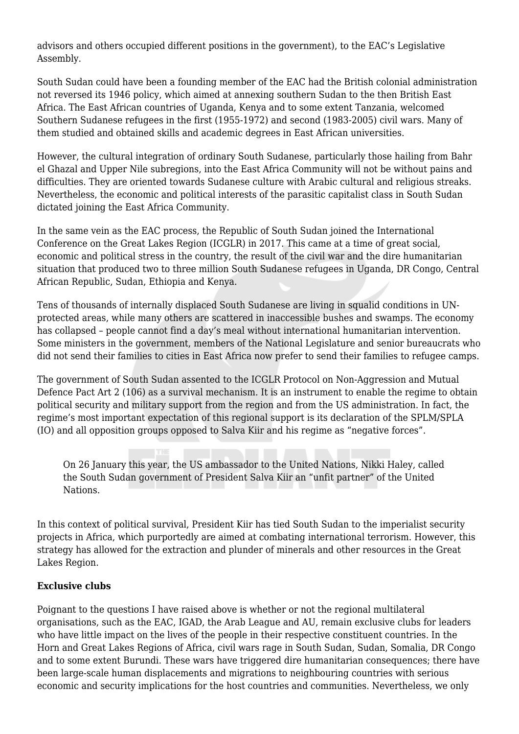advisors and others occupied different positions in the government), to the EAC's Legislative Assembly.

South Sudan could have been a founding member of the EAC had the British colonial administration not reversed its 1946 policy, which aimed at annexing southern Sudan to the then British East Africa. The East African countries of Uganda, Kenya and to some extent Tanzania, welcomed Southern Sudanese refugees in the first (1955-1972) and second (1983-2005) civil wars. Many of them studied and obtained skills and academic degrees in East African universities.

However, the cultural integration of ordinary South Sudanese, particularly those hailing from Bahr el Ghazal and Upper Nile subregions, into the East Africa Community will not be without pains and difficulties. They are oriented towards Sudanese culture with Arabic cultural and religious streaks. Nevertheless, the economic and political interests of the parasitic capitalist class in South Sudan dictated joining the East Africa Community.

In the same vein as the EAC process, the Republic of South Sudan joined the International Conference on the Great Lakes Region (ICGLR) in 2017. This came at a time of great social, economic and political stress in the country, the result of the civil war and the dire humanitarian situation that produced two to three million South Sudanese refugees in Uganda, DR Congo, Central African Republic, Sudan, Ethiopia and Kenya.

Tens of thousands of internally displaced South Sudanese are living in squalid conditions in UNprotected areas, while many others are scattered in inaccessible bushes and swamps. The economy has collapsed – people cannot find a day's meal without international humanitarian intervention. Some ministers in the government, members of the National Legislature and senior bureaucrats who did not send their families to cities in East Africa now prefer to send their families to refugee camps.

The government of South Sudan assented to the ICGLR Protocol on Non-Aggression and Mutual Defence Pact Art 2 (106) as a survival mechanism. It is an instrument to enable the regime to obtain political security and military support from the region and from the US administration. In fact, the regime's most important expectation of this regional support is its declaration of the SPLM/SPLA (IO) and all opposition groups opposed to Salva Kiir and his regime as "negative forces".

On 26 January this year, the US ambassador to the United Nations, Nikki Haley, called the South Sudan government of President Salva Kiir an "unfit partner" of the United Nations.

In this context of political survival, President Kiir has tied South Sudan to the imperialist security projects in Africa, which purportedly are aimed at combating international terrorism. However, this strategy has allowed for the extraction and plunder of minerals and other resources in the Great Lakes Region.

## **Exclusive clubs**

Poignant to the questions I have raised above is whether or not the regional multilateral organisations, such as the EAC, IGAD, the Arab League and AU, remain exclusive clubs for leaders who have little impact on the lives of the people in their respective constituent countries. In the Horn and Great Lakes Regions of Africa, civil wars rage in South Sudan, Sudan, Somalia, DR Congo and to some extent Burundi. These wars have triggered dire humanitarian consequences; there have been large-scale human displacements and migrations to neighbouring countries with serious economic and security implications for the host countries and communities. Nevertheless, we only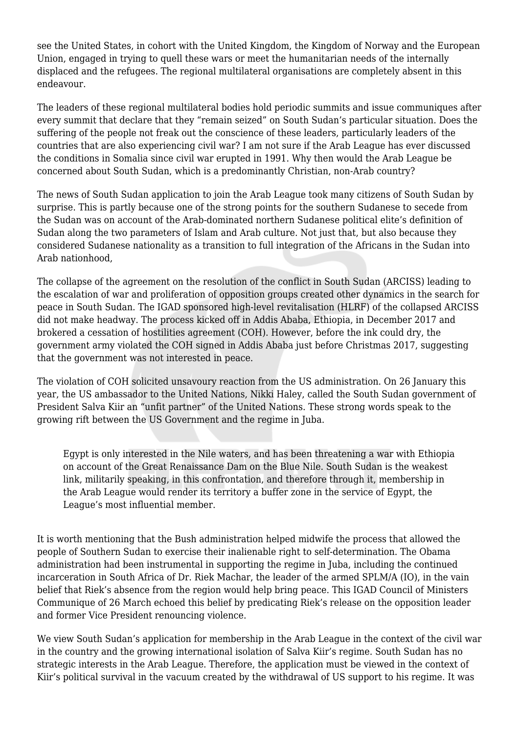see the United States, in cohort with the United Kingdom, the Kingdom of Norway and the European Union, engaged in trying to quell these wars or meet the humanitarian needs of the internally displaced and the refugees. The regional multilateral organisations are completely absent in this endeavour.

The leaders of these regional multilateral bodies hold periodic summits and issue communiques after every summit that declare that they "remain seized" on South Sudan's particular situation. Does the suffering of the people not freak out the conscience of these leaders, particularly leaders of the countries that are also experiencing civil war? I am not sure if the Arab League has ever discussed the conditions in Somalia since civil war erupted in 1991. Why then would the Arab League be concerned about South Sudan, which is a predominantly Christian, non-Arab country?

The news of South Sudan application to join the Arab League took many citizens of South Sudan by surprise. This is partly because one of the strong points for the southern Sudanese to secede from the Sudan was on account of the Arab-dominated northern Sudanese political elite's definition of Sudan along the two parameters of Islam and Arab culture. Not just that, but also because they considered Sudanese nationality as a transition to full integration of the Africans in the Sudan into Arab nationhood,

The collapse of the agreement on the resolution of the conflict in South Sudan (ARCISS) leading to the escalation of war and proliferation of opposition groups created other dynamics in the search for peace in South Sudan. The IGAD sponsored high-level revitalisation (HLRF) of the collapsed ARCISS did not make headway. The process kicked off in Addis Ababa, Ethiopia, in December 2017 and brokered a cessation of hostilities agreement (COH). However, before the ink could dry, the government army violated the COH signed in Addis Ababa just before Christmas 2017, suggesting that the government was not interested in peace.

The violation of COH solicited unsavoury reaction from the US administration. On 26 January this year, the US ambassador to the United Nations, Nikki Haley, called the South Sudan government of President Salva Kiir an "unfit partner" of the United Nations. These strong words speak to the growing rift between the US Government and the regime in Juba.

Egypt is only interested in the Nile waters, and has been threatening a war with Ethiopia on account of the Great Renaissance Dam on the Blue Nile. South Sudan is the weakest link, militarily speaking, in this confrontation, and therefore through it, membership in the Arab League would render its territory a buffer zone in the service of Egypt, the League's most influential member.

It is worth mentioning that the Bush administration helped midwife the process that allowed the people of Southern Sudan to exercise their inalienable right to self-determination. The Obama administration had been instrumental in supporting the regime in Juba, including the continued incarceration in South Africa of Dr. Riek Machar, the leader of the armed SPLM/A (IO), in the vain belief that Riek's absence from the region would help bring peace. This IGAD Council of Ministers Communique of 26 March echoed this belief by predicating Riek's release on the opposition leader and former Vice President renouncing violence.

We view South Sudan's application for membership in the Arab League in the context of the civil war in the country and the growing international isolation of Salva Kiir's regime. South Sudan has no strategic interests in the Arab League. Therefore, the application must be viewed in the context of Kiir's political survival in the vacuum created by the withdrawal of US support to his regime. It was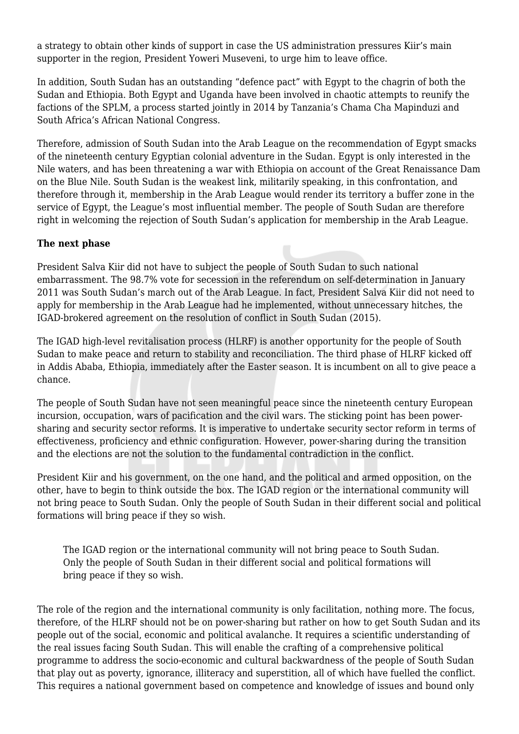a strategy to obtain other kinds of support in case the US administration pressures Kiir's main supporter in the region, President Yoweri Museveni, to urge him to leave office.

In addition, South Sudan has an outstanding "defence pact" with Egypt to the chagrin of both the Sudan and Ethiopia. Both Egypt and Uganda have been involved in chaotic attempts to reunify the factions of the SPLM, a process started jointly in 2014 by Tanzania's Chama Cha Mapinduzi and South Africa's African National Congress.

Therefore, admission of South Sudan into the Arab League on the recommendation of Egypt smacks of the nineteenth century Egyptian colonial adventure in the Sudan. Egypt is only interested in the Nile waters, and has been threatening a war with Ethiopia on account of the Great Renaissance Dam on the Blue Nile. South Sudan is the weakest link, militarily speaking, in this confrontation, and therefore through it, membership in the Arab League would render its territory a buffer zone in the service of Egypt, the League's most influential member. The people of South Sudan are therefore right in welcoming the rejection of South Sudan's application for membership in the Arab League.

## **The next phase**

President Salva Kiir did not have to subject the people of South Sudan to such national embarrassment. The 98.7% vote for secession in the referendum on self-determination in January 2011 was South Sudan's march out of the Arab League. In fact, President Salva Kiir did not need to apply for membership in the Arab League had he implemented, without unnecessary hitches, the IGAD-brokered agreement on the resolution of conflict in South Sudan (2015).

The IGAD high-level revitalisation process (HLRF) is another opportunity for the people of South Sudan to make peace and return to stability and reconciliation. The third phase of HLRF kicked off in Addis Ababa, Ethiopia, immediately after the Easter season. It is incumbent on all to give peace a chance.

The people of South Sudan have not seen meaningful peace since the nineteenth century European incursion, occupation, wars of pacification and the civil wars. The sticking point has been powersharing and security sector reforms. It is imperative to undertake security sector reform in terms of effectiveness, proficiency and ethnic configuration. However, power-sharing during the transition and the elections are not the solution to the fundamental contradiction in the conflict.

President Kiir and his government, on the one hand, and the political and armed opposition, on the other, have to begin to think outside the box. The IGAD region or the international community will not bring peace to South Sudan. Only the people of South Sudan in their different social and political formations will bring peace if they so wish.

The IGAD region or the international community will not bring peace to South Sudan. Only the people of South Sudan in their different social and political formations will bring peace if they so wish.

The role of the region and the international community is only facilitation, nothing more. The focus, therefore, of the HLRF should not be on power-sharing but rather on how to get South Sudan and its people out of the social, economic and political avalanche. It requires a scientific understanding of the real issues facing South Sudan. This will enable the crafting of a comprehensive political programme to address the socio-economic and cultural backwardness of the people of South Sudan that play out as poverty, ignorance, illiteracy and superstition, all of which have fuelled the conflict. This requires a national government based on competence and knowledge of issues and bound only